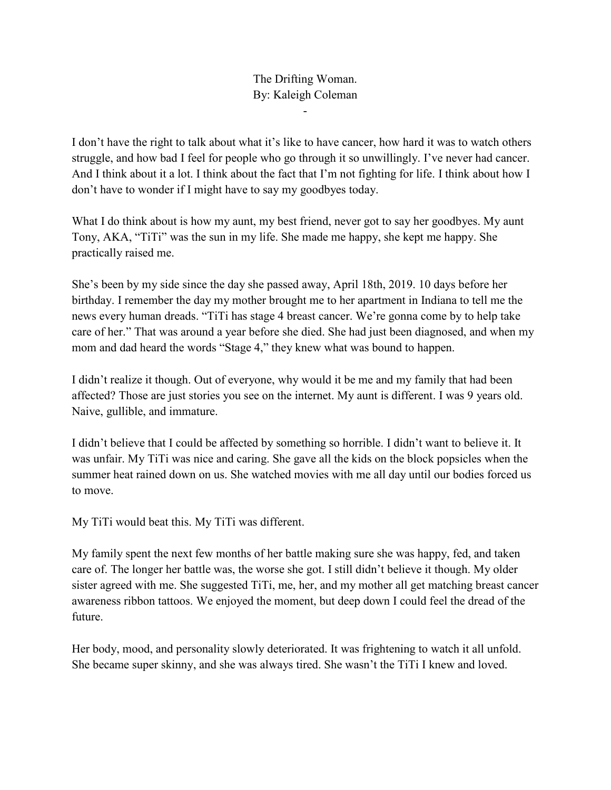## The Drifting Woman. By: Kaleigh Coleman

-

I don't have the right to talk about what it's like to have cancer, how hard it was to watch others struggle, and how bad I feel for people who go through it so unwillingly. I've never had cancer. And I think about it a lot. I think about the fact that I'm not fighting for life. I think about how I don't have to wonder if I might have to say my goodbyes today.

What I do think about is how my aunt, my best friend, never got to say her goodbyes. My aunt Tony, AKA, "TiTi" was the sun in my life. She made me happy, she kept me happy. She practically raised me.

She's been by my side since the day she passed away, April 18th, 2019. 10 days before her birthday. I remember the day my mother brought me to her apartment in Indiana to tell me the news every human dreads. "TiTi has stage 4 breast cancer. We're gonna come by to help take care of her." That was around a year before she died. She had just been diagnosed, and when my mom and dad heard the words "Stage 4," they knew what was bound to happen.

I didn't realize it though. Out of everyone, why would it be me and my family that had been affected? Those are just stories you see on the internet. My aunt is different. I was 9 years old. Naive, gullible, and immature.

I didn't believe that I could be affected by something so horrible. I didn't want to believe it. It was unfair. My TiTi was nice and caring. She gave all the kids on the block popsicles when the summer heat rained down on us. She watched movies with me all day until our bodies forced us to move.

My TiTi would beat this. My TiTi was different.

My family spent the next few months of her battle making sure she was happy, fed, and taken care of. The longer her battle was, the worse she got. I still didn't believe it though. My older sister agreed with me. She suggested TiTi, me, her, and my mother all get matching breast cancer awareness ribbon tattoos. We enjoyed the moment, but deep down I could feel the dread of the future.

Her body, mood, and personality slowly deteriorated. It was frightening to watch it all unfold. She became super skinny, and she was always tired. She wasn't the TiTi I knew and loved.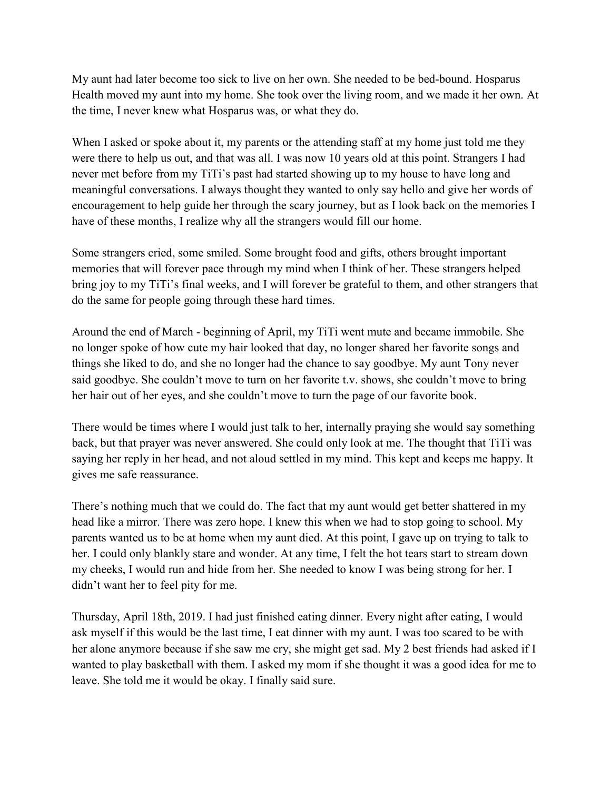My aunt had later become too sick to live on her own. She needed to be bed-bound. Hosparus Health moved my aunt into my home. She took over the living room, and we made it her own. At the time, I never knew what Hosparus was, or what they do.

When I asked or spoke about it, my parents or the attending staff at my home just told me they were there to help us out, and that was all. I was now 10 years old at this point. Strangers I had never met before from my TiTi's past had started showing up to my house to have long and meaningful conversations. I always thought they wanted to only say hello and give her words of encouragement to help guide her through the scary journey, but as I look back on the memories I have of these months, I realize why all the strangers would fill our home.

Some strangers cried, some smiled. Some brought food and gifts, others brought important memories that will forever pace through my mind when I think of her. These strangers helped bring joy to my TiTi's final weeks, and I will forever be grateful to them, and other strangers that do the same for people going through these hard times.

Around the end of March - beginning of April, my TiTi went mute and became immobile. She no longer spoke of how cute my hair looked that day, no longer shared her favorite songs and things she liked to do, and she no longer had the chance to say goodbye. My aunt Tony never said goodbye. She couldn't move to turn on her favorite t.v. shows, she couldn't move to bring her hair out of her eyes, and she couldn't move to turn the page of our favorite book.

There would be times where I would just talk to her, internally praying she would say something back, but that prayer was never answered. She could only look at me. The thought that TiTi was saying her reply in her head, and not aloud settled in my mind. This kept and keeps me happy. It gives me safe reassurance.

There's nothing much that we could do. The fact that my aunt would get better shattered in my head like a mirror. There was zero hope. I knew this when we had to stop going to school. My parents wanted us to be at home when my aunt died. At this point, I gave up on trying to talk to her. I could only blankly stare and wonder. At any time, I felt the hot tears start to stream down my cheeks, I would run and hide from her. She needed to know I was being strong for her. I didn't want her to feel pity for me.

Thursday, April 18th, 2019. I had just finished eating dinner. Every night after eating, I would ask myself if this would be the last time, I eat dinner with my aunt. I was too scared to be with her alone anymore because if she saw me cry, she might get sad. My 2 best friends had asked if I wanted to play basketball with them. I asked my mom if she thought it was a good idea for me to leave. She told me it would be okay. I finally said sure.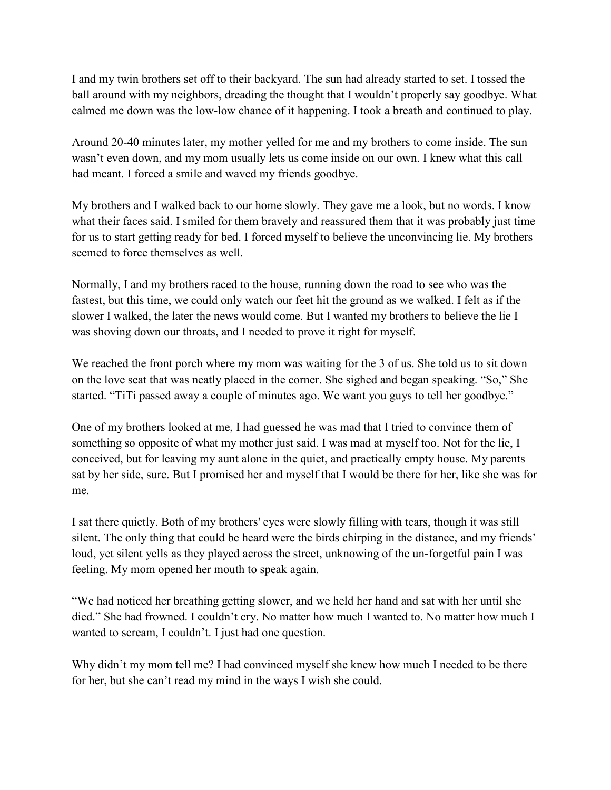I and my twin brothers set off to their backyard. The sun had already started to set. I tossed the ball around with my neighbors, dreading the thought that I wouldn't properly say goodbye. What calmed me down was the low-low chance of it happening. I took a breath and continued to play.

Around 20-40 minutes later, my mother yelled for me and my brothers to come inside. The sun wasn't even down, and my mom usually lets us come inside on our own. I knew what this call had meant. I forced a smile and waved my friends goodbye.

My brothers and I walked back to our home slowly. They gave me a look, but no words. I know what their faces said. I smiled for them bravely and reassured them that it was probably just time for us to start getting ready for bed. I forced myself to believe the unconvincing lie. My brothers seemed to force themselves as well.

Normally, I and my brothers raced to the house, running down the road to see who was the fastest, but this time, we could only watch our feet hit the ground as we walked. I felt as if the slower I walked, the later the news would come. But I wanted my brothers to believe the lie I was shoving down our throats, and I needed to prove it right for myself.

We reached the front porch where my mom was waiting for the 3 of us. She told us to sit down on the love seat that was neatly placed in the corner. She sighed and began speaking. "So," She started. "TiTi passed away a couple of minutes ago. We want you guys to tell her goodbye."

One of my brothers looked at me, I had guessed he was mad that I tried to convince them of something so opposite of what my mother just said. I was mad at myself too. Not for the lie, I conceived, but for leaving my aunt alone in the quiet, and practically empty house. My parents sat by her side, sure. But I promised her and myself that I would be there for her, like she was for me.

I sat there quietly. Both of my brothers' eyes were slowly filling with tears, though it was still silent. The only thing that could be heard were the birds chirping in the distance, and my friends' loud, yet silent yells as they played across the street, unknowing of the un-forgetful pain I was feeling. My mom opened her mouth to speak again.

"We had noticed her breathing getting slower, and we held her hand and sat with her until she died." She had frowned. I couldn't cry. No matter how much I wanted to. No matter how much I wanted to scream, I couldn't. I just had one question.

Why didn't my mom tell me? I had convinced myself she knew how much I needed to be there for her, but she can't read my mind in the ways I wish she could.